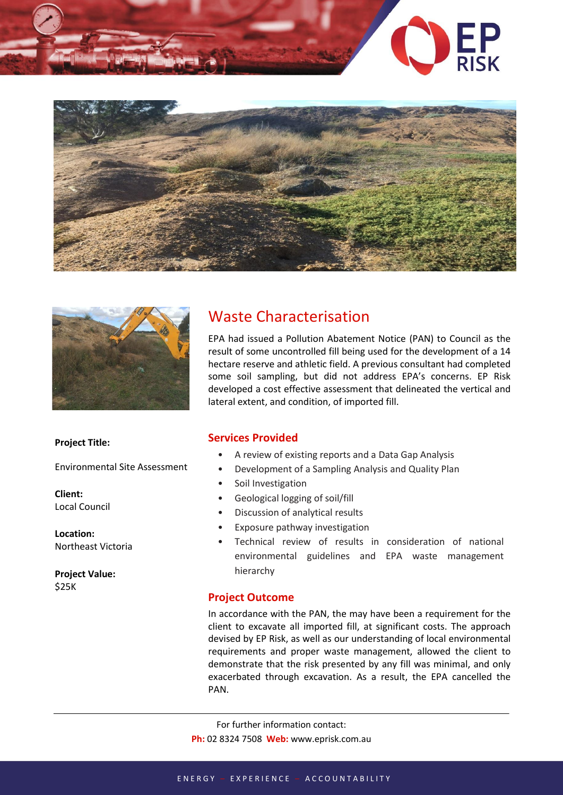





## Waste Characterisation

EPA had issued a Pollution Abatement Notice (PAN) to Council as the result of some uncontrolled fill being used for the development of a 14 hectare reserve and athletic field. A previous consultant had completed some soil sampling, but did not address EPA's concerns. EP Risk developed a cost effective assessment that delineated the vertical and lateral extent, and condition, of imported fill.

## **Project Title:**

Environmental Site Assessment

**Client:** Local Council

**Location:** Northeast Victoria

**Project Value:** \$25K

## **Services Provided**

- A review of existing reports and a Data Gap Analysis
- Development of a Sampling Analysis and Quality Plan
- Soil Investigation
- Geological logging of soil/fill
- Discussion of analytical results
- Exposure pathway investigation
- Technical review of results in consideration of national environmental guidelines and EPA waste management hierarchy

## **Project Outcome**

In accordance with the PAN, the may have been a requirement for the client to excavate all imported fill, at significant costs. The approach devised by EP Risk, as well as our understanding of local environmental requirements and proper waste management, allowed the client to demonstrate that the risk presented by any fill was minimal, and only exacerbated through excavation. As a result, the EPA cancelled the PAN.